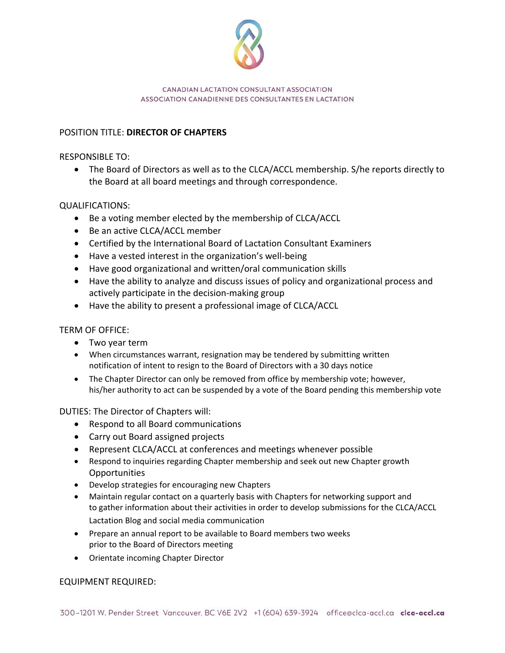

#### CANADIAN LACTATION CONSULTANT ASSOCIATION ASSOCIATION CANADIENNE DES CONSULTANTES EN LACTATION

# POSITION TITLE: **DIRECTOR OF CHAPTERS**

RESPONSIBLE TO:

• The Board of Directors as well as to the CLCA/ACCL membership. S/he reports directly to the Board at all board meetings and through correspondence.

## QUALIFICATIONS:

- Be a voting member elected by the membership of CLCA/ACCL
- Be an active CLCA/ACCL member
- Certified by the International Board of Lactation Consultant Examiners
- Have a vested interest in the organization's well-being
- Have good organizational and written/oral communication skills
- Have the ability to analyze and discuss issues of policy and organizational process and actively participate in the decision-making group
- Have the ability to present a professional image of CLCA/ACCL

TERM OF OFFICE:

- Two year term
- When circumstances warrant, resignation may be tendered by submitting written notification of intent to resign to the Board of Directors with a 30 days notice
- The Chapter Director can only be removed from office by membership vote; however, his/her authority to act can be suspended by a vote of the Board pending this membership vote

DUTIES: The Director of Chapters will:

- Respond to all Board communications
- Carry out Board assigned projects
- Represent CLCA/ACCL at conferences and meetings whenever possible
- Respond to inquiries regarding Chapter membership and seek out new Chapter growth **Opportunities**
- Develop strategies for encouraging new Chapters
- Maintain regular contact on a quarterly basis with Chapters for networking support and to gather information about their activities in order to develop submissions for the CLCA/ACCL Lactation Blog and social media communication
- Prepare an annual report to be available to Board members two weeks prior to the Board of Directors meeting
- Orientate incoming Chapter Director

### EQUIPMENT REQUIRED: